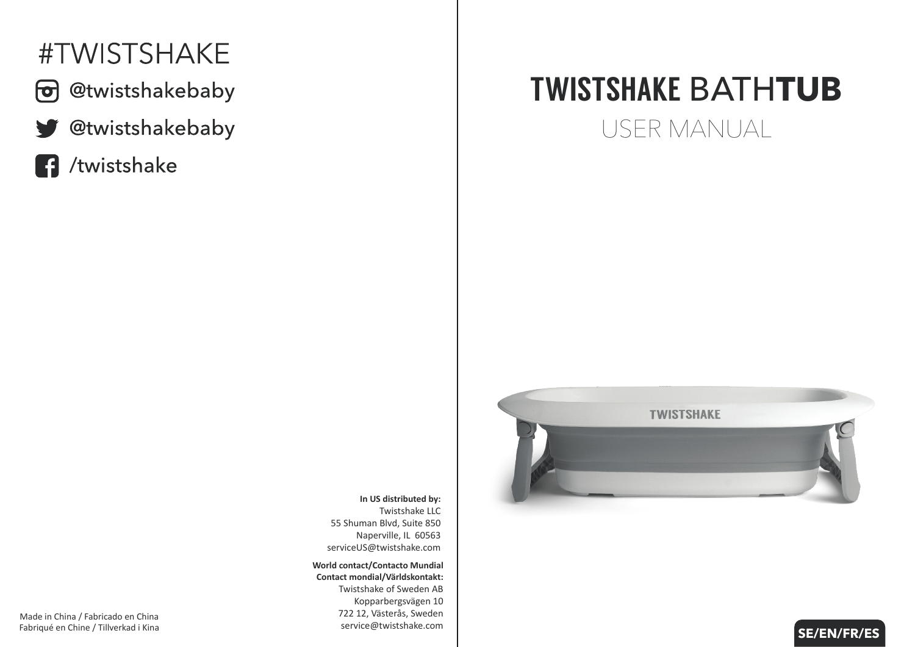# #TWISTSHAKE



- @twistshakebaby
- @twistshakebaby V
- /twistshake R

# TWISTSHAKE BATH**TUB**

USER MANUAL



**SE/EN/FR/ES**

**In US distributed by:** Twistshake LLC 55 Shuman Blvd, Suite 850 Naperville, IL 60563 serviceUS@twistshake.com

**World contact/Contacto Mundial Contact mondial/Världskontakt:** Twistshake of Sweden AB Kopparbergsvägen 10 722 12, Västerås, Sweden service@twistshake.com

Made in China / Fabricado en China Fabriqué en Chine / Tillverkad i Kina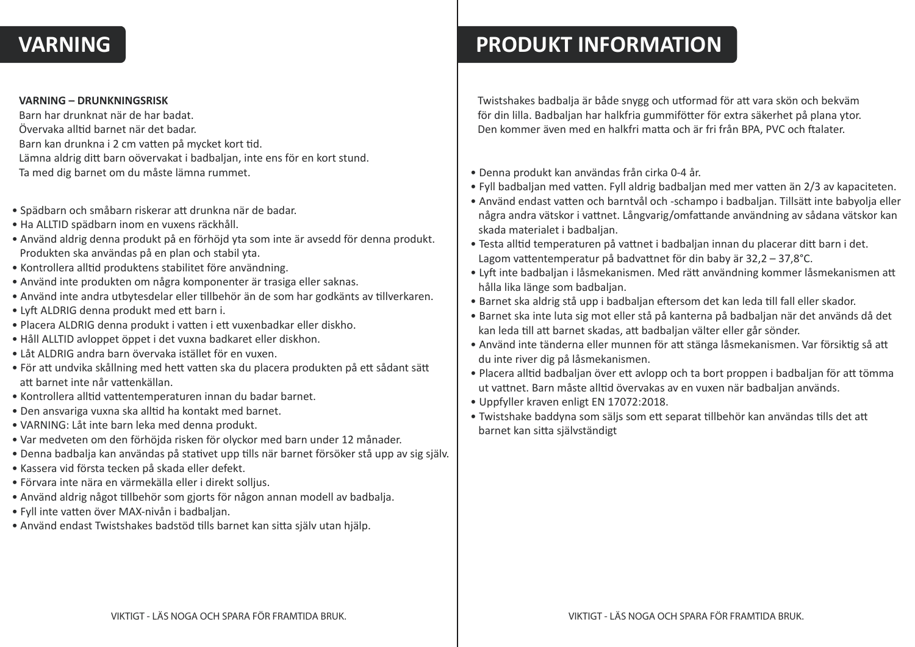### **VARNING**

#### **VARNING – DRUNKNINGSRISK**

Barn har drunknat när de har badat. Övervaka all�d barnet när det badar. Barn kan drunkna i 2 cm vatten på mycket kort tid. Lämna aldrig ditt barn oövervakat i badbaljan, inte ens för en kort stund. Ta med dig barnet om du måste lämna rummet.

- Spädbarn och småbarn riskerar a� drunkna när de badar.
- Ha ALLTID spädbarn inom en vuxens räckhåll.
- Använd aldrig denna produkt på en förhöjd yta som inte är avsedd för denna produkt. Produkten ska användas på en plan och stabil yta.
- Kontrollera alltid produktens stabilitet före användning.
- Använd inte produkten om några komponenter är trasiga eller saknas.
- Använd inte andra utbytesdelar eller tillbehör än de som har godkänts av tillverkaren.
- Lyft ALDRIG denna produkt med ett barn i.
- Placera ALDRIG denna produkt i vatten i ett vuxenbadkar eller diskho.
- Håll ALLTID avloppet öppet i det vuxna badkaret eller diskhon.
- Låt ALDRIG andra barn övervaka istället för en vuxen.
- För att undvika skållning med hett vatten ska du placera produkten på ett sådant sätt att barnet inte når vattenkällan.
- Kontrollera alltid vattentemperaturen innan du badar barnet.
- Den ansvariga vuxna ska alltid ha kontakt med barnet.
- VARNING: Låt inte barn leka med denna produkt.
- Var medveten om den förhöjda risken för olyckor med barn under 12 månader.
- Denna badbalja kan användas på stativet upp tills när barnet försöker stå upp av sig själv.
- Kassera vid första tecken på skada eller defekt.
- Förvara inte nära en värmekälla eller i direkt solljus.
- Använd aldrig något tillbehör som gjorts för någon annan modell av badbalja.
- Fyll inte va�en över MAX-nivån i badbaljan.
- Använd endast Twistshakes badstöd tills barnet kan sitta själv utan hjälp.

### **PRODUKT INFORMATION**

Twistshakes badbalja är både snygg och utformad för att vara skön och bekväm för din lilla. Badbaljan har halkfria gummifötter för extra säkerhet på plana ytor. Den kommer även med en halkfri matta och är fri från BPA, PVC och ftalater.

- Denna produkt kan användas från cirka 0-4 år.
- Fyll badbaljan med vatten. Fyll aldrig badbaljan med mer vatten än 2/3 av kapaciteten.
- Använd endast vatten och barntvål och -schampo i badbaljan. Tillsätt inte babyolja eller några andra vätskor i vattnet. Långvarig/omfattande användning av sådana vätskor kan skada materialet i badbaljan.
- Testa alltid temperaturen på vattnet i badbaljan innan du placerar ditt barn i det. Lagom vattentemperatur på badvattnet för din baby är  $32,2 - 37,8^{\circ}C$ .
- Lyft inte badbaljan i låsmekanismen. Med rätt användning kommer låsmekanismen att hålla lika länge som badbaljan.
- Barnet ska aldrig stå upp i badbaljan eftersom det kan leda till fall eller skador.
- Barnet ska inte luta sig mot eller stå på kanterna på badbaljan när det används då det kan leda till att barnet skadas, att badbaljan välter eller går sönder.
- Använd inte tänderna eller munnen för att stänga låsmekanismen. Var försiktig så att du inte river dig på låsmekanismen.
- Placera alltid badbaljan över ett avlopp och ta bort proppen i badbaljan för att tömma ut vattnet. Barn måste alltid övervakas av en vuxen när badbaljan används.
- Uppfyller kraven enligt EN 17072:2018.
- Twistshake baddyna som säljs som ett separat tillbehör kan användas tills det att barnet kan sitta självständigt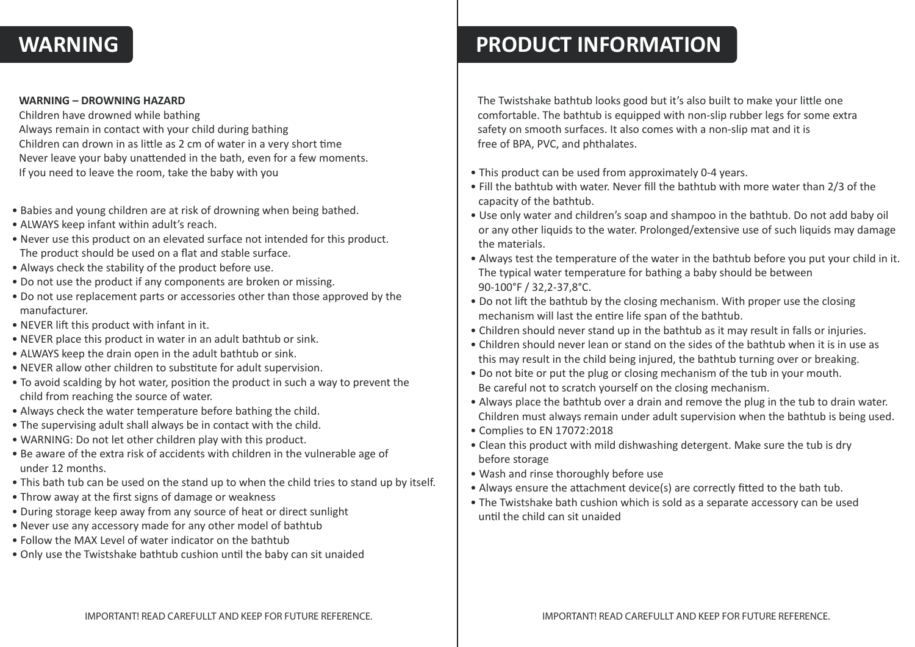#### **WARNING**

#### **WARNING – DROWNING HAZARD**

Children have drowned while bathing Always remain in contact with your child during bathing Children can drown in as little as 2 cm of water in a very short time Never leave your baby unattended in the bath, even for a few moments. If you need to leave the room, take the baby with you

- Babies and young children are at risk of drowning when being bathed.
- ALWAYS keep infant within adult's reach.
- Never use this product on an elevated surface not intended for this product. The product should be used on a flat and stable surface.
- Always check the stability of the product before use.
- Do not use the product if any components are broken or missing.
- Do not use replacement parts or accessories other than those approved by the manufacturer.
- NEVER lift this product with infant in it.
- NEVER place this product in water in an adult bathtub or sink.
- ALWAYS keep the drain open in the adult bathtub or sink.
- NEVER allow other children to substitute for adult supervision.
- To avoid scalding by hot water, position the product in such a way to prevent the child from reaching the source of water.
- Always check the water temperature before bathing the child.
- The supervising adult shall always be in contact with the child.
- WARNING: Do not let other children play with this product.
- Be aware of the extra risk of accidents with children in the vulnerable age of under 12 months.
- This bath tub can be used on the stand up to when the child tries to stand up by itself.
- Throw away at the first signs of damage or weakness
- During storage keep away from any source of heat or direct sunlight
- Never use any accessory made for any other model of bathtub
- Follow the MAX Level of water indicator on the bathtub
- Only use the Twistshake bathtub cushion until the baby can sit unaided

### **PRODUCT INFORMATION**

The Twistshake bathtub looks good but it's also built to make your little one comfortable. The bathtub is equipped with non-slip rubber legs for some extra safety on smooth surfaces. It also comes with a non-slip mat and it is free of BPA, PVC, and phthalates.

- This product can be used from approximately 0-4 years.
- Fill the bathtub with water. Never fill the bathtub with more water than 2/3 of the capacity of the bathtub.
- Use only water and children's soap and shampoo in the bathtub. Do not add baby oil or any other liquids to the water. Prolonged/extensive use of such liquids may damage the materials.
- Always test the temperature of the water in the bathtub before you put your child in it. The typical water temperature for bathing a baby should be between 90-100°F / 32,2-37,8°C.
- Do not lift the bathtub by the closing mechanism. With proper use the closing mechanism will last the entire life span of the bathtub.
- Children should never stand up in the bathtub as it may result in falls or injuries.
- Children should never lean or stand on the sides of the bathtub when it is in use as this may result in the child being injured, the bathtub turning over or breaking.
- Do not bite or put the plug or closing mechanism of the tub in your mouth. Be careful not to scratch yourself on the closing mechanism.
- Always place the bathtub over a drain and remove the plug in the tub to drain water. Children must always remain under adult supervision when the bathtub is being used.
- Complies to EN 17072:2018
- Clean this product with mild dishwashing detergent. Make sure the tub is dry before storage
- Wash and rinse thoroughly before use
- Always ensure the attachment device(s) are correctly fitted to the bath tub.
- The Twistshake bath cushion which is sold as a separate accessory can be used until the child can sit unaided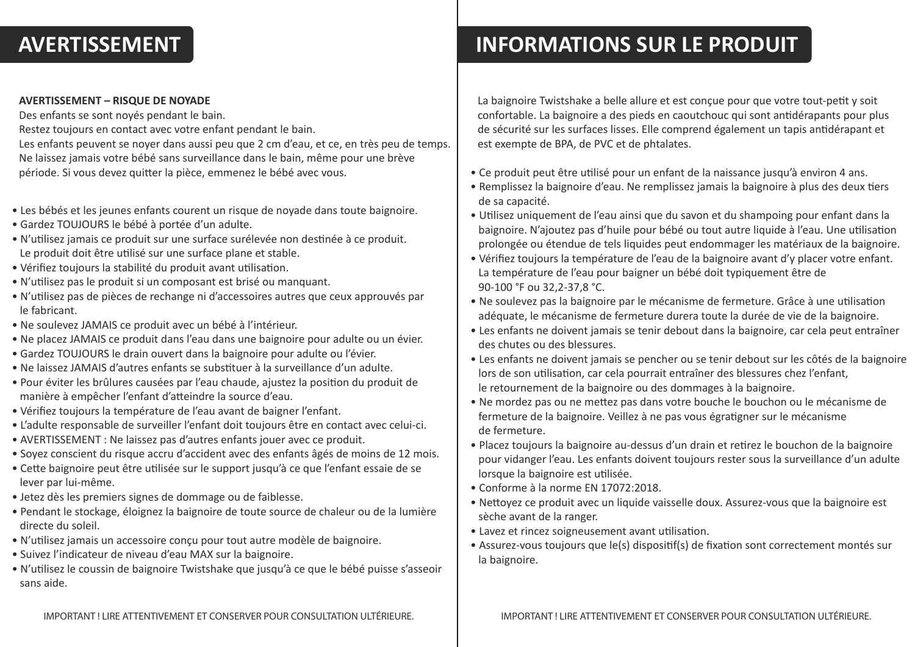#### **AVERTISSEMENT**

#### **AVERTISSEMENT – RISQUE DE NOYADE**

Des enfants se sont noyés pendant le bain.

Restez toujours en contact avec votre enfant pendant le bain.

Les enfants peuvent se noyer dans aussi peu que 2 cm d'eau, et ce, en très peu de temps. Ne laissez jamais votre bébé sans surveillance dans le bain, même pour une brève période. Si vous devez qui�er la pièce, emmenez le bébé avec vous.

- Les bébés et les jeunes enfants courent un risque de noyade dans toute baignoire.
- Gardez TOUJOURS le bébé à portée d'un adulte.
- N'utilisez jamais ce produit sur une surface surélevée non destinée à ce produit. Le produit doit être utilisé sur une surface plane et stable.
- Vérifiez toujours la stabilité du produit avant utilisation.
- N'u�lisez pas le produit si un composant est brisé ou manquant.
- N'u�lisez pas de pièces de rechange ni d'accessoires autres que ceux approuvés par le fabricant.
- Ne soulevez JAMAIS ce produit avec un bébé à l'intérieur.
- Ne placez JAMAIS ce produit dans l'eau dans une baignoire pour adulte ou un évier.
- Gardez TOUJOURS le drain ouvert dans la baignoire pour adulte ou l'évier.
- Ne laissez JAMAIS d'autres enfants se subs�tuer à la surveillance d'un adulte.
- Pour éviter les brûlures causées par l'eau chaude, ajustez la posi�on du produit de manière à empêcher l'enfant d'a�eindre la source d'eau.
- Vérifiez toujours la température de l'eau avant de baigner l'enfant.
- L'adulte responsable de surveiller l'enfant doit toujours être en contact avec celui-ci.
- AVERTISSEMENT : Ne laissez pas d'autres enfants jouer avec ce produit.
- Soyez conscient du risque accru d'accident avec des enfants âgés de moins de 12 mois.
- Cette baignoire peut être utilisée sur le support jusqu'à ce que l'enfant essaie de se lever par lui-même.
- Jetez dès les premiers signes de dommage ou de faiblesse.
- Pendant le stockage, éloignez la baignoire de toute source de chaleur ou de la lumière directe du soleil.
- N'u�lisez jamais un accessoire conçu pour tout autre modèle de baignoire.
- Suivez l'indicateur de niveau d'eau MAX sur la baignoire.
- N'u�lisez le coussin de baignoire Twistshake que jusqu'à ce que le bébé puisse s'asseoir sans aide.

## **INFORMATIONS SUR LE PRODUIT**

La baignoire Twistshake a belle allure et est conçue pour que votre tout-petit y soit confortable. La baignoire a des pieds en caoutchouc qui sont an�dérapants pour plus de sécurité sur les surfaces lisses. Elle comprend également un tapis an�dérapant et est exempte de BPA, de PVC et de phtalates.

- Ce produit peut être utilisé pour un enfant de la naissance jusqu'à environ 4 ans.
- Remplissez la baignoire d'eau. Ne remplissez jamais la baignoire à plus des deux �ers de sa capacité.
- U�lisez uniquement de l'eau ainsi que du savon et du shampoing pour enfant dans la baignoire. N'ajoutez pas d'huile pour bébé ou tout autre liquide à l'eau. Une utilisation prolongée ou étendue de tels liquides peut endommager les matériaux de la baignoire.
- Vérifiez toujours la température de l'eau de la baignoire avant d'y placer votre enfant. La température de l'eau pour baigner un bébé doit typiquement être de 90-100 °F ou 32,2-37,8 °C.
- Ne soulevez pas la baignoire par le mécanisme de fermeture. Grâce à une utilisation adéquate, le mécanisme de fermeture durera toute la durée de vie de la baignoire.
- Les enfants ne doivent jamais se tenir debout dans la baignoire, car cela peut entraîner des chutes ou des blessures.
- Les enfants ne doivent jamais se pencher ou se tenir debout sur les côtés de la baignoire lors de son utilisation, car cela pourrait entraîner des blessures chez l'enfant, le retournement de la baignoire ou des dommages à la baignoire.
- Ne mordez pas ou ne me�ez pas dans votre bouche le bouchon ou le mécanisme de fermeture de la baignoire. Veillez à ne pas vous égra�gner sur le mécanisme de fermeture.
- Placez toujours la baignoire au-dessus d'un drain et retirez le bouchon de la baignoire pour vidanger l'eau. Les enfants doivent toujours rester sous la surveillance d'un adulte lorsque la baignoire est utilisée.
- Conforme à la norme EN 17072:2018.
- Nettoyez ce produit avec un liquide vaisselle doux. Assurez-vous que la baignoire est sèche avant de la ranger.
- Lavez et rincez soigneusement avant utilisation.
- Assurez-vous toujours que le(s) dispositif(s) de fixation sont correctement montés sur la baignoire.